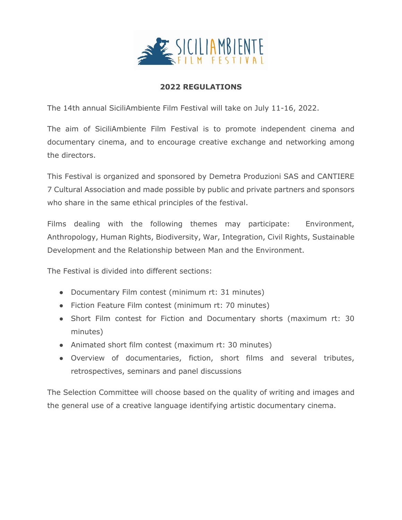

## **2022 REGULATIONS**

The 14th annual SiciliAmbiente Film Festival will take on July 11-16, 2022.

The aim of SiciliAmbiente Film Festival is to promote independent cinema and documentary cinema, and to encourage creative exchange and networking among the directors.

This Festival is organized and sponsored by Demetra Produzioni SAS and CANTIERE 7 Cultural Association and made possible by public and private partners and sponsors who share in the same ethical principles of the festival.

Films dealing with the following themes may participate: Environment, Anthropology, Human Rights, Biodiversity, War, Integration, Civil Rights, Sustainable Development and the Relationship between Man and the Environment.

The Festival is divided into different sections:

- Documentary Film contest (minimum rt: 31 minutes)
- Fiction Feature Film contest (minimum rt: 70 minutes)
- Short Film contest for Fiction and Documentary shorts (maximum rt: 30 minutes)
- Animated short film contest (maximum rt: 30 minutes)
- Overview of documentaries, fiction, short films and several tributes, retrospectives, seminars and panel discussions

The Selection Committee will choose based on the quality of writing and images and the general use of a creative language identifying artistic documentary cinema.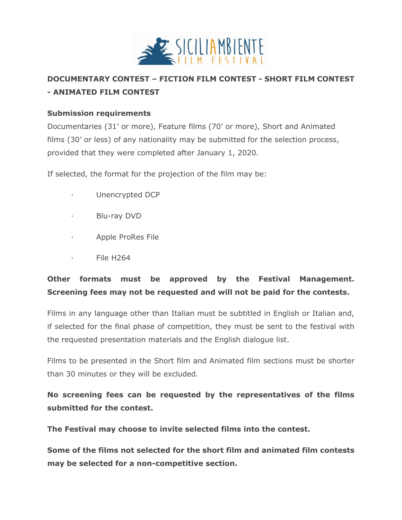

# **DOCUMENTARY CONTEST – FICTION FILM CONTEST - SHORT FILM CONTEST - ANIMATED FILM CONTEST**

## **Submission requirements**

Documentaries (31' or more), Feature films (70' or more), Short and Animated films (30' or less) of any nationality may be submitted for the selection process, provided that they were completed after January 1, 2020.

If selected, the format for the projection of the film may be:

- Unencrypted DCP
- · Blu-ray DVD
- · Apple ProRes File
- · File H264

# **Other formats must be approved by the Festival Management. Screening fees may not be requested and will not be paid for the contests.**

Films in any language other than Italian must be subtitled in English or Italian and, if selected for the final phase of competition, they must be sent to the festival with the requested presentation materials and the English dialogue list.

Films to be presented in the Short film and Animated film sections must be shorter than 30 minutes or they will be excluded.

**No screening fees can be requested by the representatives of the films submitted for the contest.**

**The Festival may choose to invite selected films into the contest.**

**Some of the films not selected for the short film and animated film contests may be selected for a non-competitive section.**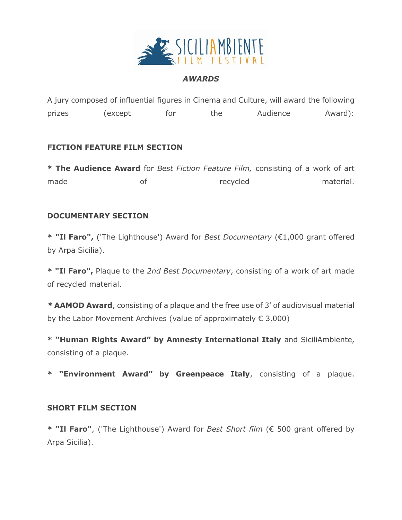

#### *AWARDS*

A jury composed of influential figures in Cinema and Culture, will award the following prizes (except for the Audience Award):

### **FICTION FEATURE FILM SECTION**

**\* The Audience Award** for *Best Fiction Feature Film,* consisting of a work of art made of of recycled material.

#### **DOCUMENTARY SECTION**

**\* "Il Faro",** ('The Lighthouse') Award for *Best Documentary* (€1,000 grant offered by Arpa Sicilia).

**\* "Il Faro",** Plaque to the *2nd Best Documentary*, consisting of a work of art made of recycled material.

*\** **AAMOD Award**, consisting of a plaque and the free use of 3' of audiovisual material by the Labor Movement Archives (value of approximately  $\epsilon$  3,000)

**\* "Human Rights Award" by Amnesty International Italy** and SiciliAmbiente, consisting of a plaque.

**\* "Environment Award" by Greenpeace Italy**, consisting of a plaque.

#### **SHORT FILM SECTION**

**\* "Il Faro"**, ('The Lighthouse') Award for *Best Short film* (€ 500 grant offered by Arpa Sicilia).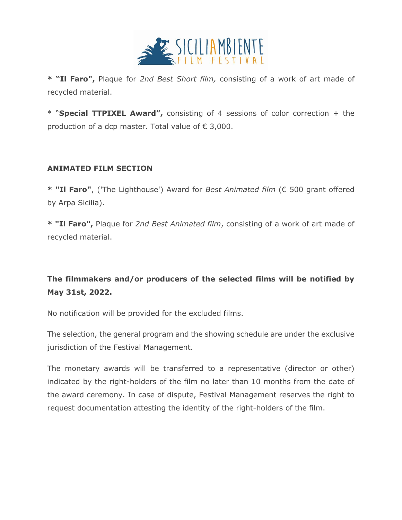

**\* "Il Faro",** Plaque for *2nd Best Short film,* consisting of a work of art made of recycled material.

\* "**Special TTPIXEL Award",** consisting of 4 sessions of color correction + the production of a dcp master. Total value of € 3,000.

### **ANIMATED FILM SECTION**

**\* "Il Faro"**, ('The Lighthouse') Award for *Best Animated film* (€ 500 grant offered by Arpa Sicilia).

**\* "Il Faro",** Plaque for *2nd Best Animated film*, consisting of a work of art made of recycled material.

# **The filmmakers and/or producers of the selected films will be notified by May 31st, 2022.**

No notification will be provided for the excluded films.

The selection, the general program and the showing schedule are under the exclusive jurisdiction of the Festival Management.

The monetary awards will be transferred to a representative (director or other) indicated by the right-holders of the film no later than 10 months from the date of the award ceremony. In case of dispute, Festival Management reserves the right to request documentation attesting the identity of the right-holders of the film.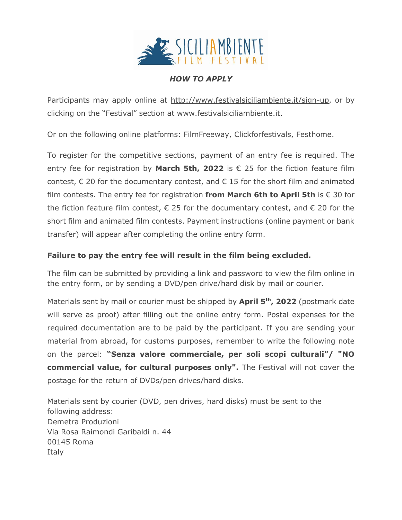

## *HOW TO APPLY*

Participants may apply online at [http://www.festivalsiciliambiente.it/sign-up,](http://www.festivalsiciliambiente.it/sign-up) or by clicking on the "Festival" section at www.festivalsiciliambiente.it.

Or on the following online platforms: FilmFreeway, Clickforfestivals, Festhome.

To register for the competitive sections, payment of an entry fee is required. The entry fee for registration by **March 5th, 2022** is  $\epsilon$  25 for the fiction feature film contest,  $\epsilon$  20 for the documentary contest, and  $\epsilon$  15 for the short film and animated film contests. The entry fee for registration **from March 6th to April 5th** is € 30 for the fiction feature film contest,  $\epsilon$  25 for the documentary contest, and  $\epsilon$  20 for the short film and animated film contests. Payment instructions (online payment or bank transfer) will appear after completing the online entry form.

## **Failure to pay the entry fee will result in the film being excluded.**

The film can be submitted by providing a link and password to view the film online in the entry form, or by sending a DVD/pen drive/hard disk by mail or courier.

Materials sent by mail or courier must be shipped by **April 5 th, 2022** (postmark date will serve as proof) after filling out the online entry form. Postal expenses for the required documentation are to be paid by the participant. If you are sending your material from abroad, for customs purposes, remember to write the following note on the parcel: **"Senza valore commerciale, per soli scopi culturali"/ "NO commercial value, for cultural purposes only".** The Festival will not cover the postage for the return of DVDs/pen drives/hard disks.

Materials sent by courier (DVD, pen drives, hard disks) must be sent to the following address: Demetra Produzioni Via Rosa Raimondi Garibaldi n. 44 00145 Roma Italy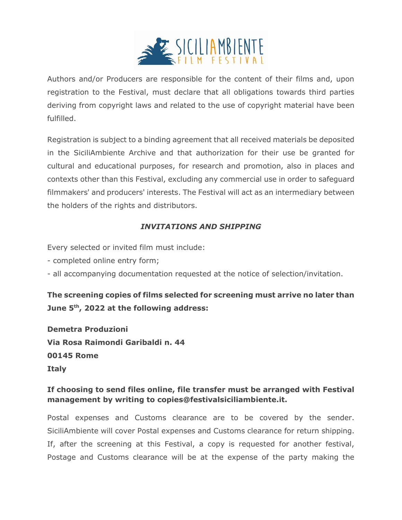

Authors and/or Producers are responsible for the content of their films and, upon registration to the Festival, must declare that all obligations towards third parties deriving from copyright laws and related to the use of copyright material have been fulfilled.

Registration is subject to a binding agreement that all received materials be deposited in the SiciliAmbiente Archive and that authorization for their use be granted for cultural and educational purposes, for research and promotion, also in places and contexts other than this Festival, excluding any commercial use in order to safeguard filmmakers' and producers' interests. The Festival will act as an intermediary between the holders of the rights and distributors.

## *INVITATIONS AND SHIPPING*

Every selected or invited film must include:

- completed online entry form;
- all accompanying documentation requested at the notice of selection/invitation.

## **The screening copies of films selected for screening must arrive no later than June 5th, 2022 at the following address:**

**Demetra Produzioni Via Rosa Raimondi Garibaldi n. 44 00145 Rome Italy**

## **If choosing to send files online, file transfer must be arranged with Festival management by writing to copies@festivalsiciliambiente.it.**

Postal expenses and Customs clearance are to be covered by the sender. SiciliAmbiente will cover Postal expenses and Customs clearance for return shipping. If, after the screening at this Festival, a copy is requested for another festival, Postage and Customs clearance will be at the expense of the party making the